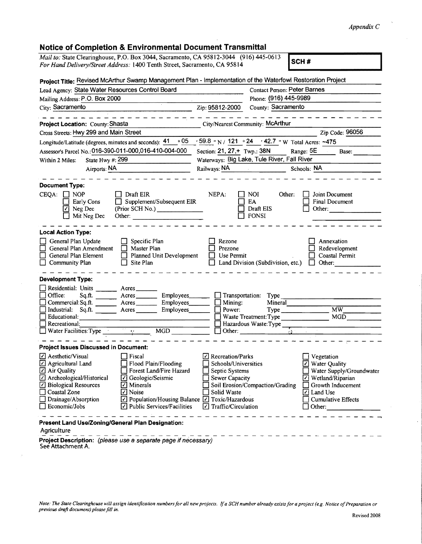## *Appendix* C

## Notice of Completion & Environmental Document Transmittal

| Mail to: State Clearinghouse, P.O. Box 3044, Sacramento, CA 95812-3044 (916) 445-0613                                              |                                                 |                                                                             |                                     | SCH#                                         |  |
|------------------------------------------------------------------------------------------------------------------------------------|-------------------------------------------------|-----------------------------------------------------------------------------|-------------------------------------|----------------------------------------------|--|
| For Hand Delivery/Street Address: 1400 Tenth Street, Sacramento, CA 95814                                                          |                                                 |                                                                             |                                     |                                              |  |
| Project Title: Revised McArthur Swamp Management Plan - Implementation of the Waterfowl Restoration Project                        |                                                 |                                                                             |                                     |                                              |  |
| Lead Agency: State Water Resources Control Board                                                                                   |                                                 |                                                                             | <b>Contact Person: Peter Barnes</b> |                                              |  |
| Mailing Address: P.O. Box 2000                                                                                                     |                                                 |                                                                             | Phone: (916) 445-9989               |                                              |  |
| City: Sacramento                                                                                                                   |                                                 | County: Sacramento<br>Zip: 95812-2000                                       |                                     |                                              |  |
|                                                                                                                                    |                                                 |                                                                             |                                     |                                              |  |
| Project Location: County: Shasta                                                                                                   |                                                 | City/Nearest Community: McArthur                                            |                                     |                                              |  |
| Cross Streets: Hwy 299 and Main Street                                                                                             |                                                 |                                                                             |                                     | Zip Code: 96056                              |  |
| Longitude/Latitude (degrees, minutes and seconds): 41                                                                              | $\cdot$ 05                                      | $\frac{1}{2}$ 59.8 ° N / 121 ° 24 · 42.7 ° W Total Acres: ~475              |                                     |                                              |  |
| Assessor's Parcel No.: 016-390-011-000,016-410-004-000                                                                             |                                                 | Section: $21, 27, +$ Twp.: 38N<br>Range: 5E<br>$\qquad \qquad \text{Base:}$ |                                     |                                              |  |
| State Hwy #: $299$<br>Within 2 Miles:                                                                                              |                                                 | Waterways: Big Lake, Tule River, Fall River                                 |                                     |                                              |  |
| Airports: NA                                                                                                                       |                                                 | Railways: NA<br>Schools: NA                                                 |                                     |                                              |  |
|                                                                                                                                    |                                                 |                                                                             |                                     |                                              |  |
| <b>Document Type:</b>                                                                                                              |                                                 |                                                                             |                                     |                                              |  |
| $CEQA: \Box NP$                                                                                                                    | Draft EIR                                       | NEPA:                                                                       | <b>NOI</b><br>Other:                | Joint Document                               |  |
| Early Cons                                                                                                                         | Supplement/Subsequent EIR                       |                                                                             | EA                                  | <b>Final Document</b>                        |  |
| $\boxed{2}$ Neg Dec                                                                                                                | (Prior SCH No.) _______________                 |                                                                             | Draft EIS                           | Other:                                       |  |
| Mit Neg Dec                                                                                                                        | Other:                                          |                                                                             | <b>FONSI</b>                        |                                              |  |
| <b>Local Action Type:</b>                                                                                                          |                                                 |                                                                             |                                     |                                              |  |
| General Plan Update                                                                                                                | Specific Plan                                   | Rezone                                                                      |                                     | Annexation                                   |  |
| General Plan Amendment                                                                                                             | Master Plan                                     | Prezone                                                                     |                                     | Redevelopment                                |  |
| General Plan Element                                                                                                               | Planned Unit Development                        | Use Permit                                                                  |                                     | Coastal Permit                               |  |
| Community Plan                                                                                                                     | Site Plan                                       |                                                                             | Land Division (Subdivision, etc.)   | Other:<br>IJ                                 |  |
| <b>Development Type:</b>                                                                                                           |                                                 |                                                                             |                                     |                                              |  |
| Residential: Units                                                                                                                 | Acres                                           |                                                                             |                                     |                                              |  |
| Office:<br>Sq.ft.                                                                                                                  | Acres<br>Employees_                             | Transportation:                                                             | Type                                |                                              |  |
| Commercial: Sq.ft.                                                                                                                 | Employees_                                      | Mining:                                                                     | Mineral                             |                                              |  |
| Industrial: Sq.ft.                                                                                                                 | Employees_<br>Acres                             | Power:                                                                      |                                     | MW                                           |  |
| Educational:                                                                                                                       |                                                 |                                                                             | Waste Treatment: Type               | MGD                                          |  |
| Recreational:                                                                                                                      |                                                 |                                                                             | Hazardous Waste: Type               |                                              |  |
| Water Facilities: Type                                                                                                             | MGD<br>$\mathbf{b} \in \mathbb{R}^{n \times n}$ |                                                                             |                                     |                                              |  |
| <b>Project Issues Discussed in Document:</b>                                                                                       |                                                 |                                                                             |                                     |                                              |  |
| √ Aesthetic/Visual                                                                                                                 | $\Box$ Fiscal                                   | Recreation/Parks                                                            |                                     | $\Box$ Vegetation                            |  |
| Agricultural Land                                                                                                                  | Flood Plain/Flooding                            | Schools/Universities                                                        |                                     | $\boxed{\phantom{1}}$ Water Quality          |  |
| □ Air Quality                                                                                                                      | Forest Land/Fire Hazard                         | Septic Systems                                                              |                                     | Water Supply/Groundwater                     |  |
| Archeological/Historical                                                                                                           | ⊡ Geologic/Seismic                              | Sewer Capacity                                                              |                                     | Wetland/Riparian<br>$\vert \checkmark \vert$ |  |
| ☑ Biological Resources<br>Coastal Zone                                                                                             | $\Box$ Minerals<br>$\Box$ Noise                 | Solid Waste                                                                 | Soil Erosion/Compaction/Grading     | Growth Inducement                            |  |
| Drainage/Absorption                                                                                                                | ☑ Population/Housing Balance ☑ Toxic/Hazardous  |                                                                             |                                     | Land Use<br>M<br><b>Cumulative Effects</b>   |  |
| Economic/Jobs                                                                                                                      | $\vee$ Public Services/Facilities               | Traffic/Circulation<br>I√I                                                  |                                     | Other:                                       |  |
| Present Land Use/Zoning/General Plan Designation:<br>Agriculture<br>Project Description: (please use a separate page if necessary) |                                                 |                                                                             |                                     |                                              |  |

See Attachment A.

 $\bar{z}$ 

*Note: The State Clearinghouse will assign identification numbers for all new projects. If a SCH number already exists for a project (e.g. Notice of Preparation or<br>previous draft document) please fill in.*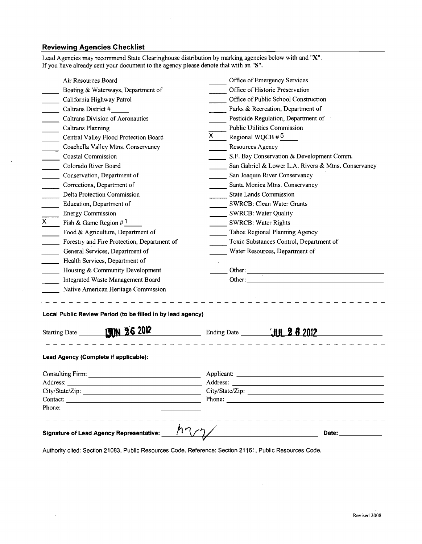## **Reviewing Agencies Checklist**

 $\ddot{\phantom{a}}$ 

 $\ddot{\phantom{0}}$ 

 $\mathcal{A}$ 

 $\bar{\mathcal{A}}$ 

|                                   | Phone: The contract of the contract of the contract of the contract of the contract of the contract of the contract of the contract of the contract of the contract of the contract of the contract of the contract of the con                                    |                                                                                                                                                                                                                                      |                                                                 |  |  |
|-----------------------------------|-------------------------------------------------------------------------------------------------------------------------------------------------------------------------------------------------------------------------------------------------------------------|--------------------------------------------------------------------------------------------------------------------------------------------------------------------------------------------------------------------------------------|-----------------------------------------------------------------|--|--|
|                                   |                                                                                                                                                                                                                                                                   |                                                                                                                                                                                                                                      |                                                                 |  |  |
|                                   |                                                                                                                                                                                                                                                                   |                                                                                                                                                                                                                                      |                                                                 |  |  |
|                                   |                                                                                                                                                                                                                                                                   | Address: the contract of the contract of the contract of the contract of the contract of the contract of the contract of the contract of the contract of the contract of the contract of the contract of the contract of the c       |                                                                 |  |  |
|                                   | Consulting Firm: National Consulting Firm:                                                                                                                                                                                                                        | Applicant: <u>the contract of the contract of the contract of the contract of the contract of the contract of the contract of the contract of the contract of the contract of the contract of the contract of the contract of th</u> |                                                                 |  |  |
|                                   | Lead Agency (Complete if applicable):                                                                                                                                                                                                                             |                                                                                                                                                                                                                                      |                                                                 |  |  |
|                                   | Starting Date 11M 26 2012<br><u>and the state of the state of the state of the state of the state of the state of the state of the state of the state of the state of the state of the state of the state of the state of the state of the state of the state</u> |                                                                                                                                                                                                                                      |                                                                 |  |  |
|                                   | Local Public Review Period (to be filled in by lead agency)                                                                                                                                                                                                       |                                                                                                                                                                                                                                      |                                                                 |  |  |
|                                   |                                                                                                                                                                                                                                                                   |                                                                                                                                                                                                                                      |                                                                 |  |  |
|                                   | Native American Heritage Commission                                                                                                                                                                                                                               |                                                                                                                                                                                                                                      |                                                                 |  |  |
| Integrated Waste Management Board |                                                                                                                                                                                                                                                                   | Other:                                                                                                                                                                                                                               |                                                                 |  |  |
|                                   | Housing & Community Development                                                                                                                                                                                                                                   |                                                                                                                                                                                                                                      |                                                                 |  |  |
|                                   | Health Services, Department of                                                                                                                                                                                                                                    |                                                                                                                                                                                                                                      |                                                                 |  |  |
|                                   | General Services, Department of                                                                                                                                                                                                                                   | Water Resources, Department of                                                                                                                                                                                                       |                                                                 |  |  |
|                                   | Forestry and Fire Protection, Department of                                                                                                                                                                                                                       | Toxic Substances Control, Department of                                                                                                                                                                                              |                                                                 |  |  |
|                                   | Food & Agriculture, Department of                                                                                                                                                                                                                                 | Tahoe Regional Planning Agency                                                                                                                                                                                                       |                                                                 |  |  |
| X.                                | Fish & Game Region $#1$                                                                                                                                                                                                                                           | SWRCB: Water Rights                                                                                                                                                                                                                  |                                                                 |  |  |
|                                   | <b>Energy Commission</b>                                                                                                                                                                                                                                          | SWRCB: Water Quality                                                                                                                                                                                                                 |                                                                 |  |  |
|                                   | Education, Department of                                                                                                                                                                                                                                          | <b>SWRCB: Clean Water Grants</b>                                                                                                                                                                                                     |                                                                 |  |  |
|                                   | Delta Protection Commission                                                                                                                                                                                                                                       | State Lands Commission                                                                                                                                                                                                               |                                                                 |  |  |
|                                   | Corrections, Department of                                                                                                                                                                                                                                        | Santa Monica Mtns. Conservancy                                                                                                                                                                                                       |                                                                 |  |  |
|                                   | Conservation, Department of                                                                                                                                                                                                                                       | San Joaquin River Conservancy                                                                                                                                                                                                        |                                                                 |  |  |
|                                   | Colorado River Board                                                                                                                                                                                                                                              |                                                                                                                                                                                                                                      | San Gabriel & Lower L.A. Rivers & Mtns. Conservancy             |  |  |
|                                   | Coastal Commission                                                                                                                                                                                                                                                |                                                                                                                                                                                                                                      | S.F. Bay Conservation & Development Comm.                       |  |  |
|                                   | Coachella Valley Mtns. Conservancy                                                                                                                                                                                                                                | <b>Resources Agency</b>                                                                                                                                                                                                              |                                                                 |  |  |
|                                   | Central Valley Flood Protection Board                                                                                                                                                                                                                             |                                                                                                                                                                                                                                      | Regional WQCB $#5$                                              |  |  |
|                                   | Caltrans Planning                                                                                                                                                                                                                                                 | <b>Public Utilities Commission</b>                                                                                                                                                                                                   |                                                                 |  |  |
|                                   | Caltrans Division of Aeronautics                                                                                                                                                                                                                                  | Pesticide Regulation, Department of                                                                                                                                                                                                  |                                                                 |  |  |
| Caltrans District #               |                                                                                                                                                                                                                                                                   | Parks & Recreation, Department of                                                                                                                                                                                                    |                                                                 |  |  |
|                                   | California Highway Patrol                                                                                                                                                                                                                                         |                                                                                                                                                                                                                                      | Office of Public School Construction                            |  |  |
|                                   | Air Resources Board<br>Boating & Waterways, Department of                                                                                                                                                                                                         |                                                                                                                                                                                                                                      | Office of Emergency Services<br>Office of Historic Preservation |  |  |

Lead Agencies may recommend State Clearinghouse distribution by marking agencies below with and "X".

Authority cited: Section 21083, Public Resources Code. Reference: Section 21161, Public Resources Code.